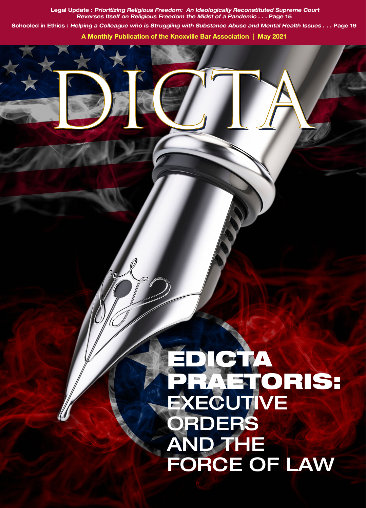**Legal Update : Prioritizing Religious Freedom: An Ideologically Reconstituted Supreme Court Reverses Itself on Religious Freedom the Midst of a Pandemic . . . Page 15 Schooled in Ethics : Helping a Colleague who is Struggling with Substance Abuse and Mental Health Issues . . . Page 19**  A Monthly Publication of the Knoxville Bar Association | May 2021

 $\overline{0}$ 

## EDICTA PRAETORIS: **EXECUTIVE** RDERS AND THE FORCE OF LAW